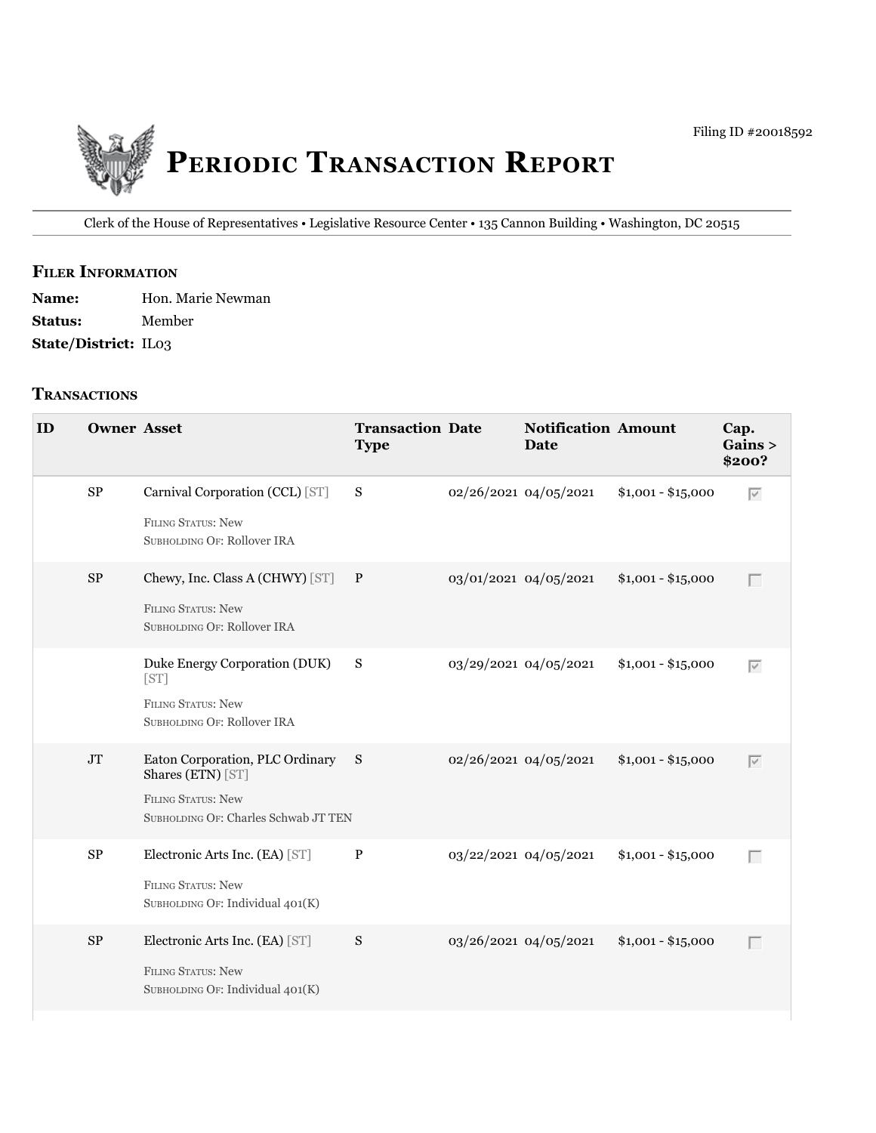

Clerk of the House of Representatives • legislative Resource Center • 135 Cannon building • Washington, DC 20515

## **filer information**

| <b>Name:</b>                | Hon. Marie Newman |
|-----------------------------|-------------------|
| <b>Status:</b>              | Member            |
| <b>State/District: IL03</b> |                   |

#### **tranSactionS**

| ID | <b>Owner Asset</b> |                                                                                                                             | <b>Transaction Date</b><br><b>Type</b> |                       | <b>Notification Amount</b><br>Date |                    | Cap.<br>Gains ><br>\$200? |
|----|--------------------|-----------------------------------------------------------------------------------------------------------------------------|----------------------------------------|-----------------------|------------------------------------|--------------------|---------------------------|
|    | $\rm SP$           | Carnival Corporation (CCL) [ST]<br><b>FILING STATUS: New</b><br>SUBHOLDING OF: Rollover IRA                                 | S                                      | 02/26/2021 04/05/2021 |                                    | $$1,001 - $15,000$ | $\overline{\vee}$         |
|    | ${\rm SP}$         | Chewy, Inc. Class A (CHWY) [ST] P<br>FILING STATUS: New<br>SUBHOLDING OF: Rollover IRA                                      |                                        | 03/01/2021 04/05/2021 |                                    | $$1,001 - $15,000$ | $\Box$                    |
|    |                    | Duke Energy Corporation (DUK)<br>[ST]<br><b>FILING STATUS: New</b><br>SUBHOLDING OF: Rollover IRA                           | S                                      | 03/29/2021 04/05/2021 |                                    | $$1,001 - $15,000$ | $\overline{\vee}$         |
|    | $\rm JT$           | Eaton Corporation, PLC Ordinary S<br>Shares (ETN) [ST]<br><b>FILING STATUS: New</b><br>SUBHOLDING OF: Charles Schwab JT TEN |                                        | 02/26/2021 04/05/2021 |                                    | $$1,001 - $15,000$ | $\overline{\vee}$         |
|    | $\rm SP$           | Electronic Arts Inc. (EA) [ST]<br><b>FILING STATUS: New</b><br>SUBHOLDING OF: Individual 401(K)                             | $\, {\bf P}$                           | 03/22/2021 04/05/2021 |                                    | $$1,001 - $15,000$ | Г                         |
|    | $\rm SP$           | Electronic Arts Inc. (EA) [ST]<br>FILING STATUS: New<br>SUBHOLDING OF: Individual 401(K)                                    | S                                      | 03/26/2021 04/05/2021 |                                    | $$1,001 - $15,000$ | $\Box$                    |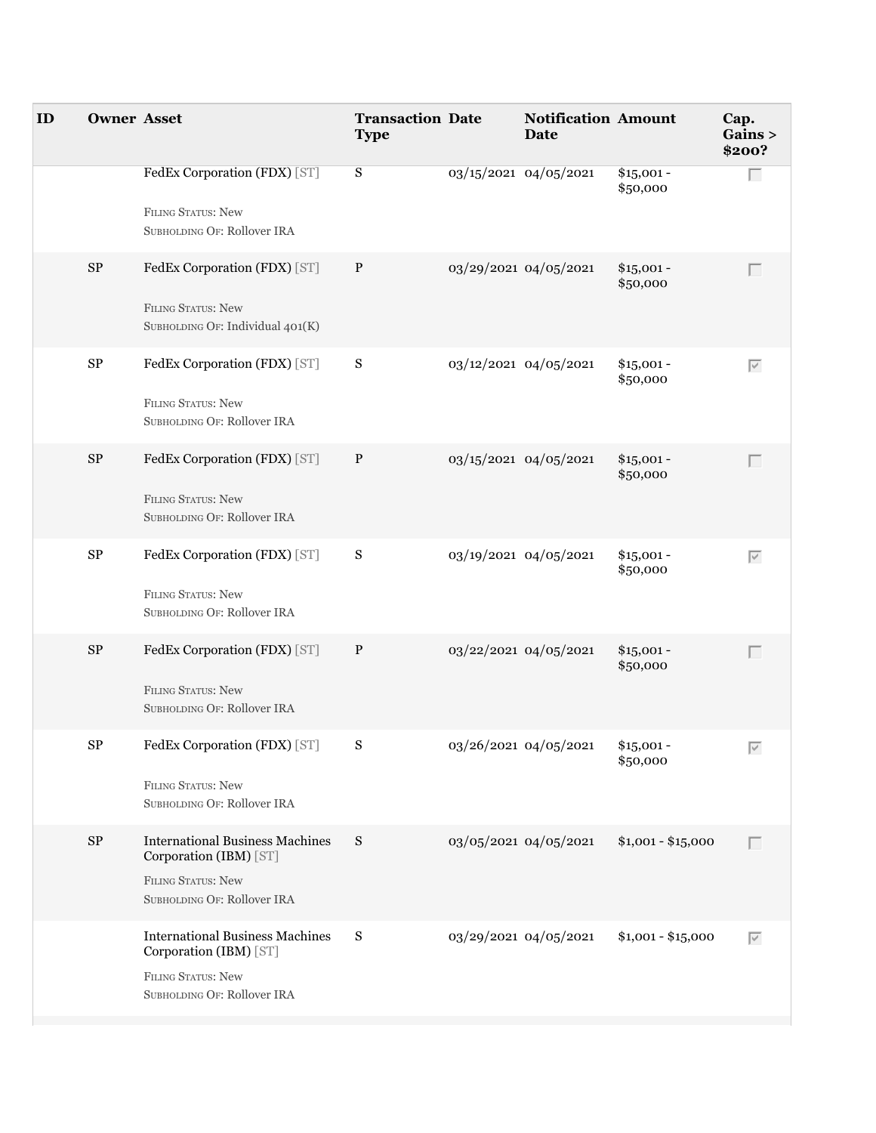| ID | <b>Owner Asset</b> |                                                                                                                              | <b>Transaction Date</b><br><b>Type</b> | <b>Notification Amount</b><br>Date |                         | Cap.<br>Gains ><br>\$200? |
|----|--------------------|------------------------------------------------------------------------------------------------------------------------------|----------------------------------------|------------------------------------|-------------------------|---------------------------|
|    |                    | FedEx Corporation (FDX) [ST]<br><b>FILING STATUS: New</b><br>SUBHOLDING OF: Rollover IRA                                     | S                                      | 03/15/2021 04/05/2021              | $$15,001 -$<br>\$50,000 | Г                         |
|    | ${\rm SP}$         | FedEx Corporation (FDX) [ST]<br>FILING STATUS: New<br>SUBHOLDING OF: Individual 401(K)                                       | $\, {\bf P}$                           | 03/29/2021 04/05/2021              | $$15,001 -$<br>\$50,000 | $\Box$                    |
|    | ${\rm SP}$         | FedEx Corporation (FDX) [ST]<br>FILING STATUS: New<br>SUBHOLDING OF: Rollover IRA                                            | S                                      | 03/12/2021 04/05/2021              | $$15,001 -$<br>\$50,000 | $\overline{\vee}$         |
|    | $\rm SP$           | FedEx Corporation (FDX) [ST]<br><b>FILING STATUS: New</b><br>SUBHOLDING OF: Rollover IRA                                     | P                                      | 03/15/2021 04/05/2021              | $$15,001 -$<br>\$50,000 | $\Box$                    |
|    | ${\rm SP}$         | FedEx Corporation (FDX) [ST]<br>FILING STATUS: New<br>SUBHOLDING OF: Rollover IRA                                            | S                                      | 03/19/2021 04/05/2021              | $$15,001 -$<br>\$50,000 | $\overline{\vee}$         |
|    | $\rm SP$           | FedEx Corporation (FDX) [ST]<br><b>FILING STATUS: New</b><br>SUBHOLDING OF: Rollover IRA                                     | $\mathbf{P}$                           | 03/22/2021 04/05/2021              | $$15,001 -$<br>\$50,000 | $\Box$                    |
|    | $\rm SP$           | FedEx Corporation (FDX) [ST]<br><b>FILING STATUS: New</b><br>SUBHOLDING OF: Rollover IRA                                     | S                                      | 03/26/2021 04/05/2021              | $$15,001 -$<br>\$50,000 | $\overline{\vee}$         |
|    | $\rm SP$           | <b>International Business Machines</b><br>Corporation (IBM) [ST]<br>FILING STATUS: New<br>SUBHOLDING OF: Rollover IRA        | S                                      | 03/05/2021 04/05/2021              | $$1,001 - $15,000$      | $\Box$                    |
|    |                    | <b>International Business Machines</b><br>Corporation (IBM) [ST]<br><b>FILING STATUS: New</b><br>SUBHOLDING OF: Rollover IRA | S                                      | 03/29/2021 04/05/2021              | $$1,001 - $15,000$      | $\overline{\vee}$         |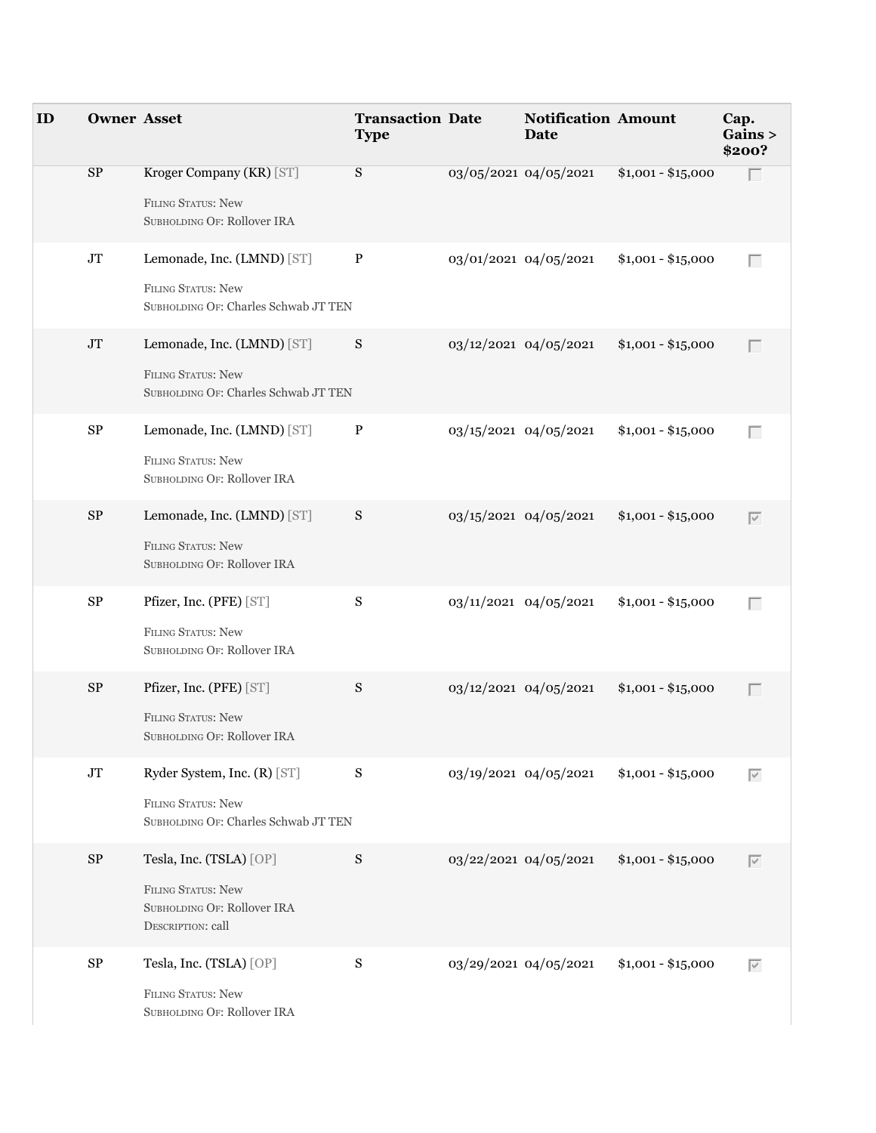| ID | <b>Owner Asset</b> |                                                                                                   | <b>Transaction Date</b><br><b>Type</b> | <b>Notification Amount</b><br><b>Date</b> |                    | Cap. | Gains ><br>\$200? |
|----|--------------------|---------------------------------------------------------------------------------------------------|----------------------------------------|-------------------------------------------|--------------------|------|-------------------|
|    | SP                 | Kroger Company (KR) [ST]<br>FILING STATUS: New<br>SUBHOLDING OF: Rollover IRA                     | S                                      | 03/05/2021 04/05/2021                     | $$1,001 - $15,000$ |      | г                 |
|    | $\rm JT$           | Lemonade, Inc. (LMND) [ST]<br>FILING STATUS: New<br>SUBHOLDING OF: Charles Schwab JT TEN          | $\mathbf{P}$                           | 03/01/2021 04/05/2021                     | $$1,001 - $15,000$ |      | Г                 |
|    | $\rm JT$           | Lemonade, Inc. (LMND) [ST]<br>FILING STATUS: New<br>SUBHOLDING OF: Charles Schwab JT TEN          | S                                      | 03/12/2021 04/05/2021                     | $$1,001 - $15,000$ |      | $\Box$            |
|    | ${\rm SP}$         | Lemonade, Inc. (LMND) [ST]<br>FILING STATUS: New<br>SUBHOLDING OF: Rollover IRA                   | $\mathbf{P}$                           | 03/15/2021 04/05/2021                     | $$1,001 - $15,000$ |      | Г                 |
|    | ${\rm SP}$         | Lemonade, Inc. (LMND) [ST]<br>FILING STATUS: New<br>SUBHOLDING OF: Rollover IRA                   | S                                      | 03/15/2021 04/05/2021                     | $$1,001 - $15,000$ |      | $\overline{\vee}$ |
|    | ${\rm SP}$         | Pfizer, Inc. (PFE) [ST]<br><b>FILING STATUS: New</b><br>SUBHOLDING OF: Rollover IRA               | ${\bf S}$                              | 03/11/2021 04/05/2021                     | $$1,001 - $15,000$ |      | Г                 |
|    | ${\rm SP}$         | Pfizer, Inc. (PFE) [ST]<br><b>FILING STATUS: New</b><br>SUBHOLDING OF: Rollover IRA               | ${\bf S}$                              | 03/12/2021 04/05/2021                     | $$1,001 - $15,000$ |      | $\Box$            |
|    | $\rm JT$           | Ryder System, Inc. (R) [ST]<br>FILING STATUS: New<br>SUBHOLDING OF: Charles Schwab JT TEN         | S                                      | 03/19/2021 04/05/2021                     | $$1,001 - $15,000$ |      | $\overline{\vee}$ |
|    | ${\rm SP}$         | Tesla, Inc. (TSLA) [OP]<br>FILING STATUS: New<br>SUBHOLDING OF: Rollover IRA<br>DESCRIPTION: call | ${\bf S}$                              | 03/22/2021 04/05/2021                     | $$1,001 - $15,000$ |      | $\overline{\vee}$ |
|    | ${\rm SP}$         | Tesla, Inc. (TSLA) [OP]<br><b>FILING STATUS: New</b><br>SUBHOLDING OF: Rollover IRA               | ${\bf S}$                              | 03/29/2021 04/05/2021                     | $$1,001 - $15,000$ |      | $\overline{\vee}$ |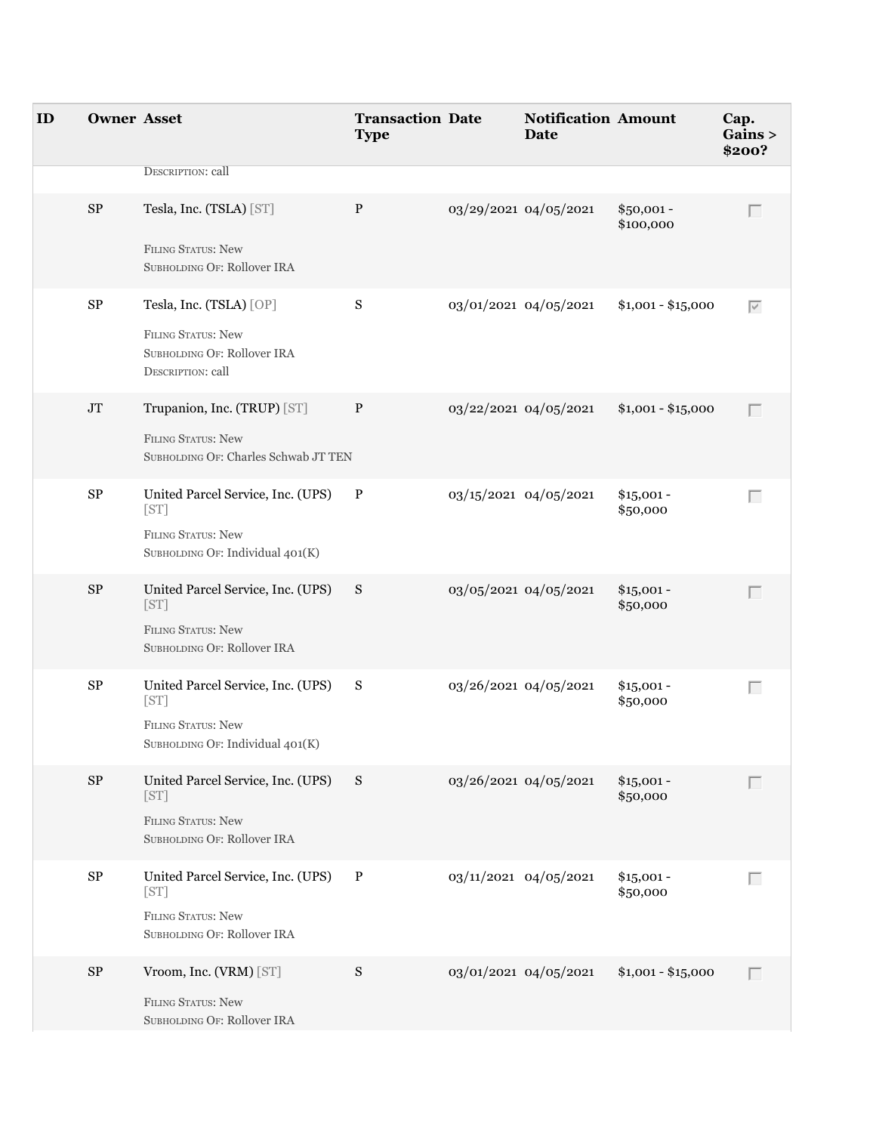| ID | <b>Owner Asset</b> |                                                                        | <b>Transaction Date</b><br><b>Type</b> |                       | <b>Notification Amount</b><br><b>Date</b> |                          | Cap.<br>\$200? | Gains >           |
|----|--------------------|------------------------------------------------------------------------|----------------------------------------|-----------------------|-------------------------------------------|--------------------------|----------------|-------------------|
|    |                    | DESCRIPTION: call                                                      |                                        |                       |                                           |                          |                |                   |
|    | SP                 | Tesla, Inc. (TSLA) [ST]                                                | P                                      |                       | 03/29/2021 04/05/2021                     | $$50,001 -$<br>\$100,000 |                | Г                 |
|    |                    | FILING STATUS: New<br>SUBHOLDING OF: Rollover IRA                      |                                        |                       |                                           |                          |                |                   |
|    | ${\rm SP}$         | Tesla, Inc. (TSLA) [OP]                                                | ${\bf S}$                              |                       | 03/01/2021 04/05/2021                     | $$1,001 - $15,000$       |                | $\overline{\vee}$ |
|    |                    | FILING STATUS: New<br>SUBHOLDING OF: Rollover IRA<br>DESCRIPTION: call |                                        |                       |                                           |                          |                |                   |
|    | $\rm JT$           | Trupanion, Inc. (TRUP) [ST]                                            | $\mathbf{P}$                           |                       | 03/22/2021 04/05/2021                     | $$1,001 - $15,000$       |                | Г                 |
|    |                    | <b>FILING STATUS: New</b><br>SUBHOLDING OF: Charles Schwab JT TEN      |                                        |                       |                                           |                          |                |                   |
|    | ${\rm SP}$         | United Parcel Service, Inc. (UPS) P<br>[ST]                            |                                        |                       | 03/15/2021 04/05/2021                     | $$15,001 -$<br>\$50,000  |                | Г                 |
|    |                    | <b>FILING STATUS: New</b><br>SUBHOLDING OF: Individual 401(K)          |                                        |                       |                                           |                          |                |                   |
|    | $\rm SP$           | United Parcel Service, Inc. (UPS)<br>[ST]                              | S                                      |                       | 03/05/2021 04/05/2021                     | $$15,001 -$<br>\$50,000  |                |                   |
|    |                    | FILING STATUS: New<br>SUBHOLDING OF: Rollover IRA                      |                                        |                       |                                           |                          |                |                   |
|    | ${\rm SP}$         | United Parcel Service, Inc. (UPS) S<br>[ST]                            |                                        | 03/26/2021 04/05/2021 |                                           | $$15,001 -$<br>\$50,000  |                | Г                 |
|    |                    | <b>FILING STATUS: New</b><br>SUBHOLDING OF: Individual 401(K)          |                                        |                       |                                           |                          |                |                   |
|    | $\rm SP$           | United Parcel Service, Inc. (UPS) S<br>[ST]                            |                                        |                       | 03/26/2021 04/05/2021                     | $$15,001 -$<br>\$50,000  |                | Г                 |
|    |                    | <b>FILING STATUS: New</b><br>SUBHOLDING OF: Rollover IRA               |                                        |                       |                                           |                          |                |                   |
|    | $\rm SP$           | United Parcel Service, Inc. (UPS)<br>[ST]                              | $\mathbf{P}$                           |                       | 03/11/2021 04/05/2021                     | $$15,001 -$<br>\$50,000  |                | Г                 |
|    |                    | FILING STATUS: New<br>SUBHOLDING OF: Rollover IRA                      |                                        |                       |                                           |                          |                |                   |
|    | $\rm SP$           | Vroom, Inc. (VRM) [ST]                                                 | ${\bf S}$                              |                       | 03/01/2021 04/05/2021                     | $$1,001 - $15,000$       |                | Г                 |
|    |                    | FILING STATUS: New<br>SUBHOLDING OF: Rollover IRA                      |                                        |                       |                                           |                          |                |                   |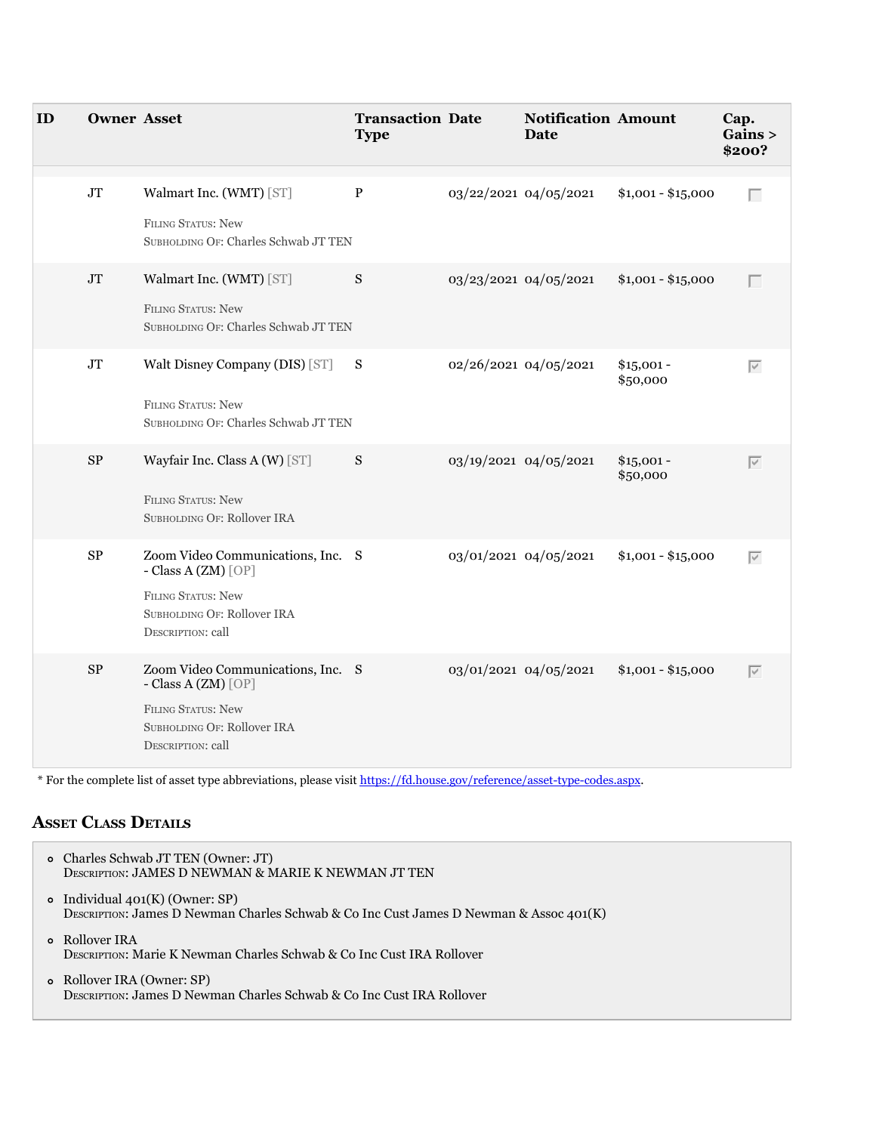| ID | <b>Owner Asset</b> |                                                                                                                                           | <b>Transaction Date</b><br><b>Type</b> |                       | <b>Notification Amount</b><br>Date |                         | Cap.<br>Gains ><br>\$200? |
|----|--------------------|-------------------------------------------------------------------------------------------------------------------------------------------|----------------------------------------|-----------------------|------------------------------------|-------------------------|---------------------------|
|    | JT                 | Walmart Inc. (WMT) [ST]<br>FILING STATUS: New<br>SUBHOLDING OF: Charles Schwab JT TEN                                                     | $\, {\bf P}$                           | 03/22/2021 04/05/2021 |                                    | $$1,001 - $15,000$      | Г                         |
|    | JT                 | Walmart Inc. (WMT) [ST]<br>FILING STATUS: New<br>SUBHOLDING OF: Charles Schwab JT TEN                                                     | S                                      | 03/23/2021 04/05/2021 |                                    | $$1,001 - $15,000$      | Г                         |
|    | $\rm JT$           | Walt Disney Company (DIS) [ST] S<br>FILING STATUS: New<br>SUBHOLDING OF: Charles Schwab JT TEN                                            |                                        | 02/26/2021 04/05/2021 |                                    | $$15,001 -$<br>\$50,000 | $\overline{\vee}$         |
|    | ${\rm SP}$         | Wayfair Inc. Class A (W) [ST]<br><b>FILING STATUS: New</b><br>SUBHOLDING OF: Rollover IRA                                                 | S                                      | 03/19/2021 04/05/2021 |                                    | $$15,001 -$<br>\$50,000 | $\overline{\vee}$         |
|    | $\rm SP$           | Zoom Video Communications, Inc. S<br>- Class A (ZM) [OP]<br><b>FILING STATUS: New</b><br>SUBHOLDING OF: Rollover IRA<br>DESCRIPTION: call |                                        | 03/01/2021 04/05/2021 |                                    | $$1,001 - $15,000$      | $\overline{\vee}$         |
|    | ${\rm SP}$         | Zoom Video Communications, Inc. S<br>- Class A (ZM) [OP]<br>FILING STATUS: New<br>SUBHOLDING OF: Rollover IRA<br>DESCRIPTION: call        |                                        | 03/01/2021 04/05/2021 |                                    | $$1,001 - $15,000$      | $\overline{\vee}$         |

\* For the complete list of asset type abbreviations, please visit<https://fd.house.gov/reference/asset-type-codes.aspx>.

# **aSSet claSS DetailS**

| o Charles Schwab JT TEN (Owner: JT)<br>DESCRIPTION: JAMES D NEWMAN & MARIE K NEWMAN JT TEN                                  |
|-----------------------------------------------------------------------------------------------------------------------------|
| • Individual $401(K)$ (Owner: SP)<br>DESCRIPTION: James D Newman Charles Schwab & Co Inc Cust James D Newman & Assoc 401(K) |
| <b>o</b> Rollover IRA<br>DESCRIPTION: Marie K Newman Charles Schwab & Co Inc Cust IRA Rollover                              |
| o Rollover IRA (Owner: SP)<br>DESCRIPTION: James D Newman Charles Schwab & Co Inc Cust IRA Rollover                         |